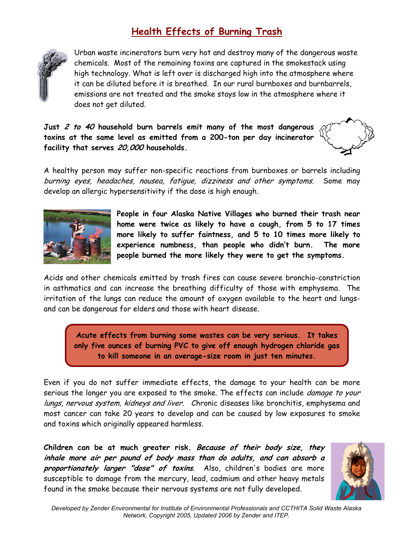## **Health Effects of Burning Trash**



Urban waste incinerators burn very hot and destroy many of the dangerous waste chemicals. Most of the remaining toxins are captured in the smokestack using high technology. What is left over is discharged high into the atmosphere where it can be diluted before it is breathed. In our rural burnboxes and burnbarrels, emissions are not treated and the smoke stays low in the atmosphere where it does not get diluted.

**Just 2 to 40 household burn barrels emit many of the most dangerous toxins at the same level as emitted from a 200-ton per day incinerator facility that serves 20,000 households.** 



A healthy person may suffer non-specific reactions from burnboxes or barrels including burning eyes, headaches, nausea, fatigue, dizziness and other symptoms. Some may develop an allergic hypersensitivity if the dose is high enough.



**People in four Alaska Native Villages who burned their trash near home were twice as likely to have a cough, from 5 to 17 times more likely to suffer faintness, and 5 to 10 times more likely to experience numbness, than people who didn't burn. The more people burned the more likely they were to get the symptoms.** 

Acids and other chemicals emitted by trash fires can cause severe bronchio-constriction in asthmatics and can increase the breathing difficulty of those with emphysema. The irritation of the lungs can reduce the amount of oxygen available to the heart and lungsand can be dangerous for elders and those with heart disease.

**Acute effects from burning some wastes can be very serious. It takes only five ounces of burning PVC to give off enough hydrogen chloride gas to kill someone in an average-size room in just ten minutes.** 

Even if you do not suffer immediate effects, the damage to your health can be more serious the longer you are exposed to the smoke. The effects can include *damage to your* lungs, nervous system, kidneys and liver. Chronic diseases like bronchitis, emphysema and most cancer can take 20 years to develop and can be caused by low exposures to smoke and toxins which originally appeared harmless.

**Children can be at much greater risk. Because of their body size, they inhale more air per pound of body mass than do adults, and can absorb a proportionately larger "dose" of toxins**. Also, children's bodies are more susceptible to damage from the mercury, lead, cadmium and other heavy metals found in the smoke because their nervous systems are not fully developed.

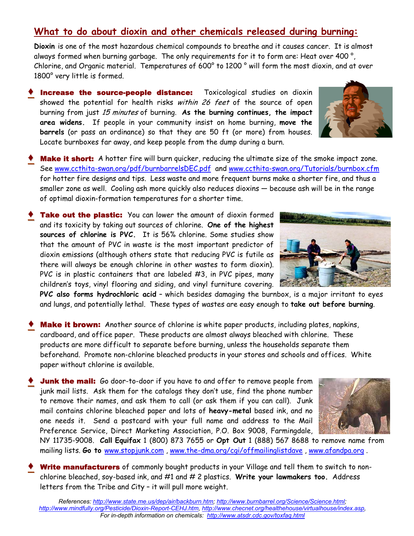## **What to do about dioxin and other chemicals released during burning:**

**Dioxin** is one of the most hazardous chemical compounds to breathe and it causes cancer. It is almost always formed when burning garbage. The only requirements for it to form are: Heat over 400 °, Chlorine, and Organic material. Temperatures of 600° to 1200 ° will form the most dioxin, and at over 1800° very little is formed.

- **Increase the source-people distance:** Toxicological studies on dioxin showed the potential for health risks within 26 feet of the source of open burning from just 15 minutes of burning. **As the burning continues, the impact area widens.** If people in your community insist on home burning, **move the barrels** (or pass an ordinance) so that they are 50 ft (or more) from houses. Locate burnboxes far away, and keep people from the dump during a burn.
- **Make it short:** A hotter fire will burn quicker, reducing the ultimate size of the smoke impact zone. See www.ccthita-swan.org/pdf/burnbarrelsDEC.pdf and www.ccthita-swan.org/Tutorials/burnbox.cfm for hotter fire designs and tips. Less waste and more frequent burns make a shorter fire, and thus a smaller zone as well. Cooling ash more quickly also reduces dioxins — because ash will be in the range of optimal dioxin-formation temperatures for a shorter time.
- **♦** Take out the plastic: You can lower the amount of dioxin formed and its toxicity by taking out sources of chlorine. **One of the highest sources of chlorine is PVC.** It is 56% chlorine. Some studies show that the amount of PVC in waste is the most important predictor of dioxin emissions (although others state that reducing PVC is futile as there will always be enough chlorine in other wastes to form dioxin). PVC is in plastic containers that are labeled #3, in PVC pipes, many children's toys, vinyl flooring and siding, and vinyl furniture covering.

**PVC also forms hydrochloric acid** – which besides damaging the burnbox, is a major irritant to eyes and lungs, and potentially lethal. These types of wastes are easy enough to **take out before burning**.

- **Make it brown:** Another source of chlorine is white paper products, including plates, napkins, cardboard, and office paper. These products are almost always bleached with chlorine. These products are more difficult to separate before burning, unless the households separate them beforehand. Promote non-chlorine bleached products in your stores and schools and offices. White paper without chlorine is available.
- **Junk the mail:** Go door-to-door if you have to and offer to remove people from junk mail lists. Ask them for the catalogs they don't use, find the phone number to remove their names, and ask them to call (or ask them if you can call). Junk mail contains chlorine bleached paper and lots of **heavy-metal** based ink, and no one needs it. Send a postcard with your full name and address to the Mail Preference Service, Direct Marketing Association, P.O. Box 9008, Farmingdale,



Write manufacturers of commonly bought products in your Village and tell them to switch to nonchlorine bleached, soy-based ink, and #1 and # 2 plastics. **Write your lawmakers too.** Address letters from the Tribe and City – it will pull more weight.





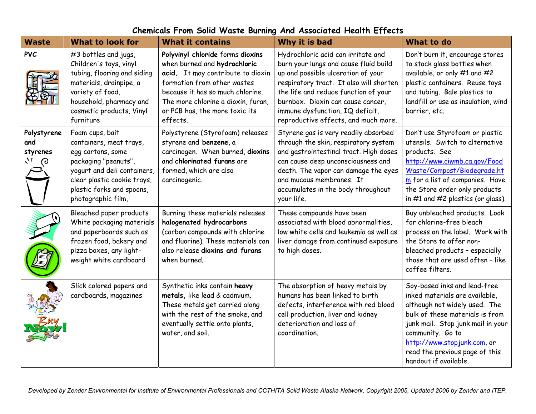| <b>Waste</b>                               | <b>What to look for</b>                                                                                                                                                                                  | <b>What it contains</b>                                                                                                                                                                                                                                      | Why it is bad                                                                                                                                                                                                                                                                                                        | <b>What to do</b>                                                                                                                                                                                                                                                                      |
|--------------------------------------------|----------------------------------------------------------------------------------------------------------------------------------------------------------------------------------------------------------|--------------------------------------------------------------------------------------------------------------------------------------------------------------------------------------------------------------------------------------------------------------|----------------------------------------------------------------------------------------------------------------------------------------------------------------------------------------------------------------------------------------------------------------------------------------------------------------------|----------------------------------------------------------------------------------------------------------------------------------------------------------------------------------------------------------------------------------------------------------------------------------------|
| <b>PVC</b>                                 | #3 bottles and jugs,<br>Children's toys, vinyl<br>tubing, flooring and siding<br>materials, drainpipe, a<br>variety of food,<br>household, pharmacy and<br>cosmetic products, Vinyl<br>furniture         | Polyvinyl chloride forms dioxins<br>when burned and hydrochloric<br>acid. It may contribute to dioxin<br>formation from other wastes<br>because it has so much chlorine.<br>The more chlorine a dioxin, furan,<br>or PCB has, the more toxic its<br>effects. | Hydrochloric acid can irritate and<br>burn your lungs and cause fluid build<br>up and possible ulceration of your<br>respiratory tract. It also will shorten<br>the life and reduce function of your<br>burnbox. Dioxin can cause cancer,<br>immune dysfunction, IQ deficit,<br>reproductive effects, and much more. | Don't burn it, encourage stores<br>to stock glass bottles when<br>available, or only #1 and #2<br>plastic containers. Reuse toys<br>and tubing. Bale plastics to<br>landfill or use as insulation, wind<br>barrier, etc.                                                               |
| Polystyrene<br>and<br>styrenes<br>$\omega$ | Foam cups, bait<br>containers, meat trays,<br>egg cartons, some<br>packaging "peanuts",<br>yogurt and deli containers,<br>clear plastic cookie trays,<br>plastic forks and spoons,<br>photographic film, | Polystyrene (Styrofoam) releases<br>styrene and benzene, a<br>carcinogen. When burned, dioxins<br>and chlorinated furans are<br>formed, which are also<br>carcinogenic.                                                                                      | Styrene gas is very readily absorbed<br>through the skin, respiratory system<br>and gastrointestinal tract. High doses<br>can cause deep unconsciousness and<br>death. The vapor can damage the eyes<br>and mucous membranes. It<br>accumulates in the body throughout<br>your life.                                 | Don't use Styrofoam or plastic<br>utensils. Switch to alternative<br>products. See<br>http://www.ciwmb.ca.gov/Food<br>Waste/Compost/Biodegrade.ht<br>m for a list of companies. Have<br>the Store order only products<br>in $#1$ and $#2$ plastics (or glass).                         |
|                                            | Bleached paper products<br>White packaging materials<br>and paperboards such as<br>frozen food, bakery and<br>pizza boxes, any light-<br>weight white cardboard                                          | Burning these materials releases<br>halogenated hydrocarbons<br>(carbon compounds with chlorine<br>and fluorine). These materials can<br>also release dioxins and furans<br>when burned.                                                                     | These compounds have been<br>associated with blood abnormalities,<br>low white cells and leukemia as well as<br>liver damage from continued exposure<br>to high doses.                                                                                                                                               | Buy unbleached products. Look<br>for chlorine-free bleach<br>process on the label. Work with<br>the Store to offer non-<br>bleached products - especially<br>those that are used often - like<br>coffee filters.                                                                       |
|                                            | Slick colored papers and<br>cardboards, magazines                                                                                                                                                        | Synthetic inks contain heavy<br>metals, like lead & cadmium.<br>These metals get carried along<br>with the rest of the smoke, and<br>eventually settle onto plants,<br>water, and soil.                                                                      | The absorption of heavy metals by<br>humans has been linked to birth<br>defects, interference with red blood<br>cell production, liver and kidney<br>deterioration and loss of<br>coordination.                                                                                                                      | Soy-based inks and lead-free<br>inked materials are available,<br>although not widely used. The<br>bulk of these materials is from<br>junk mail. Stop junk mail in your<br>community. Go to<br>http://www.stop.junk.com, or<br>read the previous page of this<br>handout if available. |

## **Chemicals From Solid Waste Burning And Associated Health Effects**